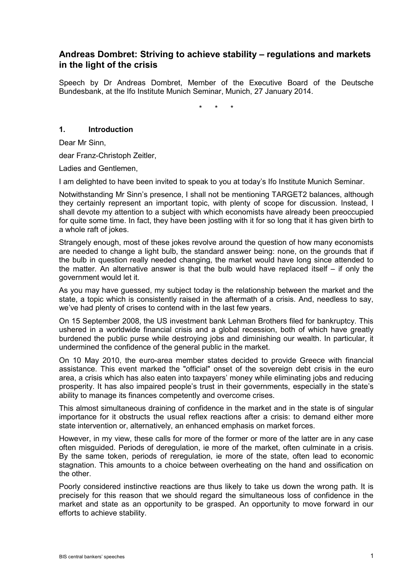# **Andreas Dombret: Striving to achieve stability – regulations and markets in the light of the crisis**

Speech by Dr Andreas Dombret, Member of the Executive Board of the Deutsche Bundesbank, at the Ifo Institute Munich Seminar, Munich, 27 January 2014.

\* \* \*

# **1. Introduction**

Dear Mr Sinn,

dear Franz-Christoph Zeitler,

Ladies and Gentlemen,

I am delighted to have been invited to speak to you at today's Ifo Institute Munich Seminar.

Notwithstanding Mr Sinn's presence, I shall not be mentioning TARGET2 balances, although they certainly represent an important topic, with plenty of scope for discussion. Instead, I shall devote my attention to a subject with which economists have already been preoccupied for quite some time. In fact, they have been jostling with it for so long that it has given birth to a whole raft of jokes.

Strangely enough, most of these jokes revolve around the question of how many economists are needed to change a light bulb, the standard answer being: none, on the grounds that if the bulb in question really needed changing, the market would have long since attended to the matter. An alternative answer is that the bulb would have replaced itself – if only the government would let it.

As you may have guessed, my subject today is the relationship between the market and the state, a topic which is consistently raised in the aftermath of a crisis. And, needless to say, we've had plenty of crises to contend with in the last few years.

On 15 September 2008, the US investment bank Lehman Brothers filed for bankruptcy. This ushered in a worldwide financial crisis and a global recession, both of which have greatly burdened the public purse while destroying jobs and diminishing our wealth. In particular, it undermined the confidence of the general public in the market.

On 10 May 2010, the euro-area member states decided to provide Greece with financial assistance. This event marked the "official" onset of the sovereign debt crisis in the euro area, a crisis which has also eaten into taxpayers' money while eliminating jobs and reducing prosperity. It has also impaired people's trust in their governments, especially in the state's ability to manage its finances competently and overcome crises.

This almost simultaneous draining of confidence in the market and in the state is of singular importance for it obstructs the usual reflex reactions after a crisis: to demand either more state intervention or, alternatively, an enhanced emphasis on market forces.

However, in my view, these calls for more of the former or more of the latter are in any case often misguided. Periods of deregulation, ie more of the market, often culminate in a crisis. By the same token, periods of reregulation, ie more of the state, often lead to economic stagnation. This amounts to a choice between overheating on the hand and ossification on the other.

Poorly considered instinctive reactions are thus likely to take us down the wrong path. It is precisely for this reason that we should regard the simultaneous loss of confidence in the market and state as an opportunity to be grasped. An opportunity to move forward in our efforts to achieve stability.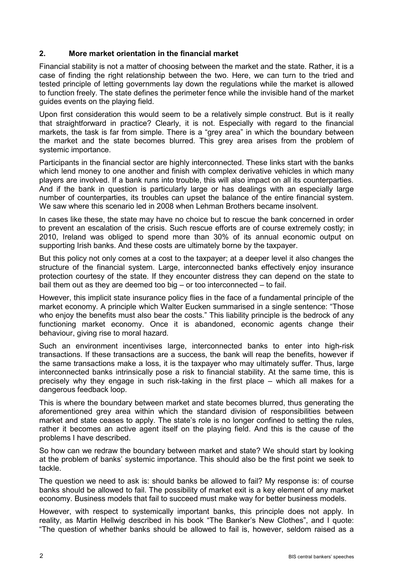# **2. More market orientation in the financial market**

Financial stability is not a matter of choosing between the market and the state. Rather, it is a case of finding the right relationship between the two. Here, we can turn to the tried and tested principle of letting governments lay down the regulations while the market is allowed to function freely. The state defines the perimeter fence while the invisible hand of the market guides events on the playing field.

Upon first consideration this would seem to be a relatively simple construct. But is it really that straightforward in practice? Clearly, it is not. Especially with regard to the financial markets, the task is far from simple. There is a "grey area" in which the boundary between the market and the state becomes blurred. This grey area arises from the problem of systemic importance.

Participants in the financial sector are highly interconnected. These links start with the banks which lend money to one another and finish with complex derivative vehicles in which many players are involved. If a bank runs into trouble, this will also impact on all its counterparties. And if the bank in question is particularly large or has dealings with an especially large number of counterparties, its troubles can upset the balance of the entire financial system. We saw where this scenario led in 2008 when Lehman Brothers became insolvent.

In cases like these, the state may have no choice but to rescue the bank concerned in order to prevent an escalation of the crisis. Such rescue efforts are of course extremely costly; in 2010, Ireland was obliged to spend more than 30% of its annual economic output on supporting Irish banks. And these costs are ultimately borne by the taxpayer.

But this policy not only comes at a cost to the taxpayer; at a deeper level it also changes the structure of the financial system. Large, interconnected banks effectively enjoy insurance protection courtesy of the state. If they encounter distress they can depend on the state to bail them out as they are deemed too big – or too interconnected – to fail.

However, this implicit state insurance policy flies in the face of a fundamental principle of the market economy. A principle which Walter Eucken summarised in a single sentence: "Those who enjoy the benefits must also bear the costs." This liability principle is the bedrock of any functioning market economy. Once it is abandoned, economic agents change their behaviour, giving rise to moral hazard.

Such an environment incentivises large, interconnected banks to enter into high-risk transactions. If these transactions are a success, the bank will reap the benefits, however if the same transactions make a loss, it is the taxpayer who may ultimately suffer. Thus, large interconnected banks intrinsically pose a risk to financial stability. At the same time, this is precisely why they engage in such risk-taking in the first place – which all makes for a dangerous feedback loop.

This is where the boundary between market and state becomes blurred, thus generating the aforementioned grey area within which the standard division of responsibilities between market and state ceases to apply. The state's role is no longer confined to setting the rules, rather it becomes an active agent itself on the playing field. And this is the cause of the problems I have described.

So how can we redraw the boundary between market and state? We should start by looking at the problem of banks' systemic importance. This should also be the first point we seek to tackle.

The question we need to ask is: should banks be allowed to fail? My response is: of course banks should be allowed to fail. The possibility of market exit is a key element of any market economy. Business models that fail to succeed must make way for better business models.

However, with respect to systemically important banks, this principle does not apply. In reality, as Martin Hellwig described in his book "The Banker's New Clothes", and I quote: "The question of whether banks should be allowed to fail is, however, seldom raised as a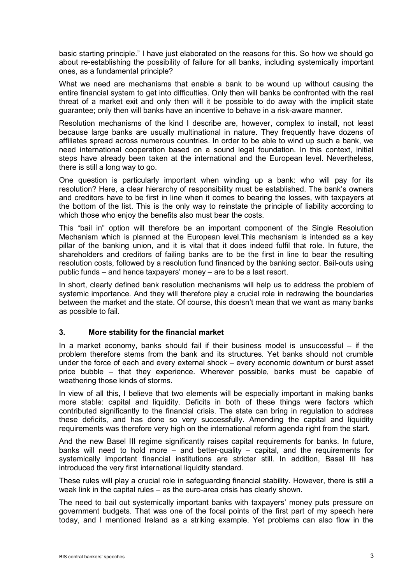basic starting principle." I have just elaborated on the reasons for this. So how we should go about re-establishing the possibility of failure for all banks, including systemically important ones, as a fundamental principle?

What we need are mechanisms that enable a bank to be wound up without causing the entire financial system to get into difficulties. Only then will banks be confronted with the real threat of a market exit and only then will it be possible to do away with the implicit state guarantee; only then will banks have an incentive to behave in a risk-aware manner.

Resolution mechanisms of the kind I describe are, however, complex to install, not least because large banks are usually multinational in nature. They frequently have dozens of affiliates spread across numerous countries. In order to be able to wind up such a bank, we need international cooperation based on a sound legal foundation. In this context, initial steps have already been taken at the international and the European level. Nevertheless, there is still a long way to go.

One question is particularly important when winding up a bank: who will pay for its resolution? Here, a clear hierarchy of responsibility must be established. The bank's owners and creditors have to be first in line when it comes to bearing the losses, with taxpayers at the bottom of the list. This is the only way to reinstate the principle of liability according to which those who enjoy the benefits also must bear the costs.

This "bail in" option will therefore be an important component of the Single Resolution Mechanism which is planned at the European level.This mechanism is intended as a key pillar of the banking union, and it is vital that it does indeed fulfil that role. In future, the shareholders and creditors of failing banks are to be the first in line to bear the resulting resolution costs, followed by a resolution fund financed by the banking sector. Bail-outs using public funds – and hence taxpayers' money – are to be a last resort.

In short, clearly defined bank resolution mechanisms will help us to address the problem of systemic importance. And they will therefore play a crucial role in redrawing the boundaries between the market and the state. Of course, this doesn't mean that we want as many banks as possible to fail.

### **3. More stability for the financial market**

In a market economy, banks should fail if their business model is unsuccessful – if the problem therefore stems from the bank and its structures. Yet banks should not crumble under the force of each and every external shock – every economic downturn or burst asset price bubble – that they experience. Wherever possible, banks must be capable of weathering those kinds of storms.

In view of all this, I believe that two elements will be especially important in making banks more stable: capital and liquidity. Deficits in both of these things were factors which contributed significantly to the financial crisis. The state can bring in regulation to address these deficits, and has done so very successfully. Amending the capital and liquidity requirements was therefore very high on the international reform agenda right from the start.

And the new Basel III regime significantly raises capital requirements for banks. In future, banks will need to hold more – and better-quality – capital, and the requirements for systemically important financial institutions are stricter still. In addition, Basel III has introduced the very first international liquidity standard.

These rules will play a crucial role in safeguarding financial stability. However, there is still a weak link in the capital rules – as the euro-area crisis has clearly shown.

The need to bail out systemically important banks with taxpayers' money puts pressure on government budgets. That was one of the focal points of the first part of my speech here today, and I mentioned Ireland as a striking example. Yet problems can also flow in the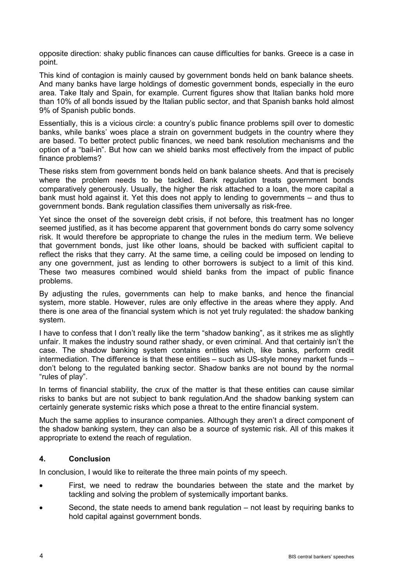opposite direction: shaky public finances can cause difficulties for banks. Greece is a case in point.

This kind of contagion is mainly caused by government bonds held on bank balance sheets. And many banks have large holdings of domestic government bonds, especially in the euro area. Take Italy and Spain, for example. Current figures show that Italian banks hold more than 10% of all bonds issued by the Italian public sector, and that Spanish banks hold almost 9% of Spanish public bonds.

Essentially, this is a vicious circle: a country's public finance problems spill over to domestic banks, while banks' woes place a strain on government budgets in the country where they are based. To better protect public finances, we need bank resolution mechanisms and the option of a "bail-in". But how can we shield banks most effectively from the impact of public finance problems?

These risks stem from government bonds held on bank balance sheets. And that is precisely where the problem needs to be tackled. Bank regulation treats government bonds comparatively generously. Usually, the higher the risk attached to a loan, the more capital a bank must hold against it. Yet this does not apply to lending to governments – and thus to government bonds. Bank regulation classifies them universally as risk-free.

Yet since the onset of the sovereign debt crisis, if not before, this treatment has no longer seemed justified, as it has become apparent that government bonds do carry some solvency risk. It would therefore be appropriate to change the rules in the medium term. We believe that government bonds, just like other loans, should be backed with sufficient capital to reflect the risks that they carry. At the same time, a ceiling could be imposed on lending to any one government, just as lending to other borrowers is subject to a limit of this kind. These two measures combined would shield banks from the impact of public finance problems.

By adjusting the rules, governments can help to make banks, and hence the financial system, more stable. However, rules are only effective in the areas where they apply. And there is one area of the financial system which is not yet truly regulated: the shadow banking system.

I have to confess that I don't really like the term "shadow banking", as it strikes me as slightly unfair. It makes the industry sound rather shady, or even criminal. And that certainly isn't the case. The shadow banking system contains entities which, like banks, perform credit intermediation. The difference is that these entities – such as US-style money market funds – don't belong to the regulated banking sector. Shadow banks are not bound by the normal "rules of play".

In terms of financial stability, the crux of the matter is that these entities can cause similar risks to banks but are not subject to bank regulation.And the shadow banking system can certainly generate systemic risks which pose a threat to the entire financial system.

Much the same applies to insurance companies. Although they aren't a direct component of the shadow banking system, they can also be a source of systemic risk. All of this makes it appropriate to extend the reach of regulation.

### **4. Conclusion**

In conclusion, I would like to reiterate the three main points of my speech.

- First, we need to redraw the boundaries between the state and the market by tackling and solving the problem of systemically important banks.
- Second, the state needs to amend bank regulation not least by requiring banks to hold capital against government bonds.